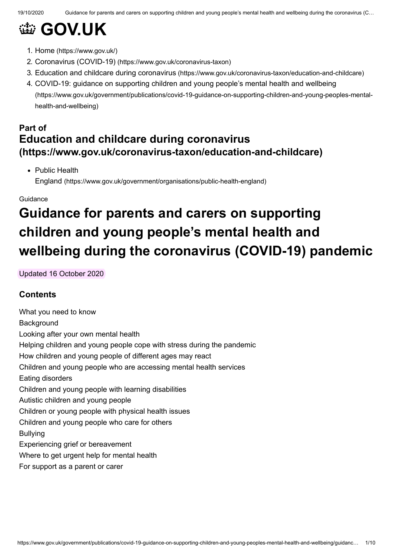# **@ [GOV.UK](https://www.gov.uk/)**

- 1. Home [\(https://www.gov.uk/\)](https://www.gov.uk/)
- 2. Coronavirus (COVID-19) [\(https://www.gov.uk/coronavirus-taxon\)](https://www.gov.uk/coronavirus-taxon)
- 3. Education and childcare during coronavirus [\(https://www.gov.uk/coronavirus-taxon/education-and-childcare\)](https://www.gov.uk/coronavirus-taxon/education-and-childcare)

# **Part of Education and childcare during coronavirus [\(https://www.gov.uk/coronavirus-taxon/education-and-childcare\)](https://www.gov.uk/coronavirus-taxon/education-and-childcare)**

• Public Health

England [\(https://www.gov.uk/government/organisations/public-health-england\)](https://www.gov.uk/government/organisations/public-health-england)

Guidance

# **Guidance for parents and carers on supporting children and young people's mental health and wellbeing during the coronavirus (COVID-19) pandemic**

Updated 16 October 2020

# **Contents**

What you need to know **Background** Looking after your own mental health Helping children and young people cope with stress during the pandemic How children and young people of different ages may react Children and young people who are accessing mental health services Eating disorders Children and young people with learning disabilities Autistic children and young people Children or young people with physical health issues Children and young people who care for others Bullying Experiencing grief or bereavement Where to get urgent help for mental health For support as a parent or carer

<sup>4.</sup> COVID-19: guidance on supporting children and young people's mental health and wellbeing [\(https://www.gov.uk/government/publications/covid-19-guidance-on-supporting-children-and-young-peoples-mental](https://www.gov.uk/government/publications/covid-19-guidance-on-supporting-children-and-young-peoples-mental-health-and-wellbeing)health-and-wellbeing)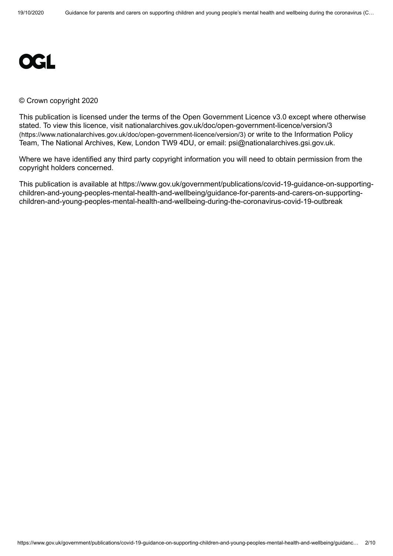

#### © Crown copyright 2020

This publication is licensed under the terms of the Open Government Licence v3.0 except where otherwise [stated. To view this licence, visit nationalarchives.gov.uk/doc/open-government-licence/version/3](https://www.nationalarchives.gov.uk/doc/open-government-licence/version/3) (https://www.nationalarchives.gov.uk/doc/open-government-licence/version/3) or write to the Information Policy Team, The National Archives, Kew, London TW9 4DU, or email: [psi@nationalarchives.gsi.gov.uk](mailto:psi@nationalarchives.gsi.gov.uk).

Where we have identified any third party copyright information you will need to obtain permission from the copyright holders concerned.

This publication is available at https://www.gov.uk/government/publications/covid-19-guidance-on-supportingchildren-and-young-peoples-mental-health-and-wellbeing/guidance-for-parents-and-carers-on-supportingchildren-and-young-peoples-mental-health-and-wellbeing-during-the-coronavirus-covid-19-outbreak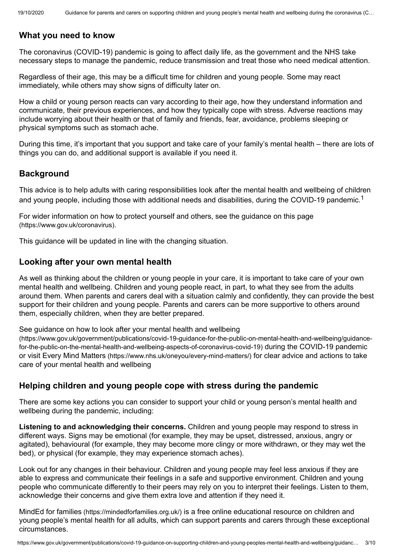## **What you need to know**

The coronavirus (COVID-19) pandemic is going to affect daily life, as the government and the NHS take necessary steps to manage the pandemic, reduce transmission and treat those who need medical attention.

Regardless of their age, this may be a difficult time for children and young people. Some may react immediately, while others may show signs of difficulty later on.

How a child or young person reacts can vary according to their age, how they understand information and communicate, their previous experiences, and how they typically cope with stress. Adverse reactions may include worrying about their health or that of family and friends, fear, avoidance, problems sleeping or physical symptoms such as stomach ache.

During this time, it's important that you support and take care of your family's mental health – there are lots of things you can do, and additional support is available if you need it.

#### **Background**

<span id="page-2-0"></span>This advice is to help adults with caring responsibilities look after the mental health and wellbeing of children and young people, including those with additional needs and disabilities, during the COVID-[1](#page-9-0)9 pandemic.<sup>1</sup>

[For wider information on how to protect yourself and others, see the guidance on this page](https://www.gov.uk/coronavirus) (https://www.gov.uk/coronavirus).

This guidance will be updated in line with the changing situation.

#### **Looking after your own mental health**

As well as thinking about the children or young people in your care, it is important to take care of your own mental health and wellbeing. Children and young people react, in part, to what they see from the adults around them. When parents and carers deal with a situation calmly and confidently, they can provide the best support for their children and young people. Parents and carers can be more supportive to others around them, especially children, when they are better prepared.

See guidance on how to look after your mental health and wellbeing

[\(https://www.gov.uk/government/publications/covid-19-guidance-for-the-public-on-mental-health-and-wellbeing/guidance](https://www.gov.uk/government/publications/covid-19-guidance-for-the-public-on-mental-health-and-wellbeing/guidance-for-the-public-on-the-mental-health-and-wellbeing-aspects-of-coronavirus-covid-19)for-the-public-on-the-mental-health-and-wellbeing-aspects-of-coronavirus-covid-19) during the COVID-19 pandemic or visit Every Mind Matters [\(https://www.nhs.uk/oneyou/every-mind-matters/\)](https://www.nhs.uk/oneyou/every-mind-matters/) for clear advice and actions to take care of your mental health and wellbeing

#### **Helping children and young people cope with stress during the pandemic**

There are some key actions you can consider to support your child or young person's mental health and wellbeing during the pandemic, including:

**Listening to and acknowledging their concerns.** Children and young people may respond to stress in different ways. Signs may be emotional (for example, they may be upset, distressed, anxious, angry or agitated), behavioural (for example, they may become more clingy or more withdrawn, or they may wet the bed), or physical (for example, they may experience stomach aches).

Look out for any changes in their behaviour. Children and young people may feel less anxious if they are able to express and communicate their feelings in a safe and supportive environment. Children and young people who communicate differently to their peers may rely on you to interpret their feelings. Listen to them, acknowledge their concerns and give them extra love and attention if they need it.

MindEd for families [\(https://mindedforfamilies.org.uk/\)](https://mindedforfamilies.org.uk/) is a free online educational resource on children and young people's mental health for all adults, which can support parents and carers through these exceptional circumstances.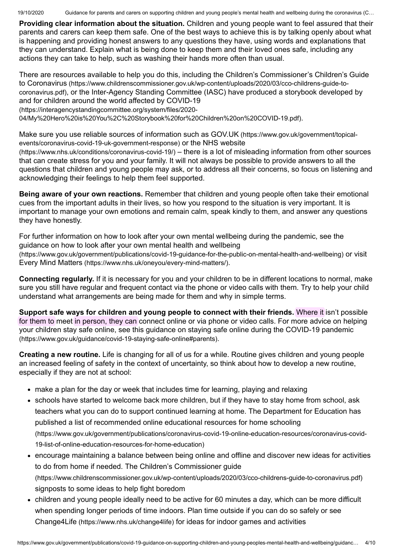**Providing clear information about the situation.** Children and young people want to feel assured that their parents and carers can keep them safe. One of the best ways to achieve this is by talking openly about what is happening and providing honest answers to any questions they have, using words and explanations that they can understand. Explain what is being done to keep them and their loved ones safe, including any actions they can take to help, such as washing their hands more often than usual.

[There are resources available to help you do this, including the Children's Commissioner's Children's Guide](https://www.childrenscommissioner.gov.uk/wp-content/uploads/2020/03/cco-childrens-guide-to-coronavirus.pdf) to Coronavirus (https://www.childrenscommissioner.gov.uk/wp-content/uploads/2020/03/cco-childrens-guide-tocoronavirus.pdf)[, or the Inter-Agency Standing Committee \(IASC\) have produced a storybook developed by](https://interagencystandingcommittee.org/system/files/2020-04/My%20Hero%20is%20You%2C%20Storybook%20for%20Children%20on%20COVID-19.pdf) and for children around the world affected by COVID-19

(https://interagencystandingcommittee.org/system/files/2020-

04/My%20Hero%20is%20You%2C%20Storybook%20for%20Children%20on%20COVID-19.pdf).

[Make sure you use reliable sources of information such as GOV.UK](https://www.gov.uk/government/topical-events/coronavirus-covid-19-uk-government-response) (https://www.gov.uk/government/topical[events/coronavirus-covid-19-uk-government-response\)](https://www.nhs.uk/conditions/coronavirus-covid-19/) or the NHS website

(https://www.nhs.uk/conditions/coronavirus-covid-19/) – there is a lot of misleading information from other sources that can create stress for you and your family. It will not always be possible to provide answers to all the questions that children and young people may ask, or to address all their concerns, so focus on listening and acknowledging their feelings to help them feel supported.

**Being aware of your own reactions.** Remember that children and young people often take their emotional cues from the important adults in their lives, so how you respond to the situation is very important. It is important to manage your own emotions and remain calm, speak kindly to them, and answer any questions they have honestly.

For further information on how to look after your own mental wellbeing during the pandemic, see the guidance on how to look after your own mental health and wellbeing [\(https://www.gov.uk/government/publications/covid-19-guidance-for-the-public-on-mental-health-and-wellbeing\)](https://www.gov.uk/government/publications/covid-19-guidance-for-the-public-on-mental-health-and-wellbeing) or visit Every Mind Matters [\(https://www.nhs.uk/oneyou/every-mind-matters/\)](https://www.nhs.uk/oneyou/every-mind-matters/).

**Connecting regularly.** If it is necessary for you and your children to be in different locations to normal, make sure you still have regular and frequent contact via the phone or video calls with them. Try to help your child understand what arrangements are being made for them and why in simple terms.

**Support safe ways for children and young people to connect with their friends.** Where it isn't possible for them to meet in person, they can connect online or via phone or video calls. For more advice on helping [your children stay safe online, see this guidance on staying safe online during the COVID-19 pandemic](https://www.gov.uk/guidance/covid-19-staying-safe-online#parents) (https://www.gov.uk/guidance/covid-19-staying-safe-online#parents).

**Creating a new routine.** Life is changing for all of us for a while. Routine gives children and young people an increased feeling of safety in the context of uncertainty, so think about how to develop a new routine, especially if they are not at school:

- make a plan for the day or week that includes time for learning, playing and relaxing
- schools have started to welcome back more children, but if they have to stay home from school, ask teachers what you can do to support continued learning at home. The Department for Education has published a list of recommended online educational resources for home schooling [\(https://www.gov.uk/government/publications/coronavirus-covid-19-online-education-resources/coronavirus-covid-](https://www.gov.uk/government/publications/coronavirus-covid-19-online-education-resources/coronavirus-covid-19-list-of-online-education-resources-for-home-education)19-list-of-online-education-resources-for-home-education)
- encourage maintaining a balance between being online and offline and discover new ideas for activities to do from home if needed. The Children's Commissioner guide [\(https://www.childrenscommissioner.gov.uk/wp-content/uploads/2020/03/cco-childrens-guide-to-coronavirus.pdf\)](https://www.childrenscommissioner.gov.uk/wp-content/uploads/2020/03/cco-childrens-guide-to-coronavirus.pdf) signposts to some ideas to help fight boredom
- children and young people ideally need to be active for 60 minutes a day, which can be more difficult when spending longer periods of time indoors. Plan time outside if you can do so safely or see Change4Life [\(https://www.nhs.uk/change4life\)](https://www.nhs.uk/change4life) for ideas for indoor games and activities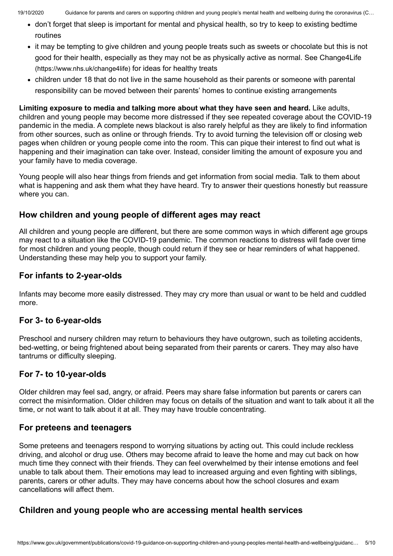- don't forget that sleep is important for mental and physical health, so try to keep to existing bedtime routines
- it may be tempting to give children and young people treats such as sweets or chocolate but this is not [good for their health, especially as they may not be as physically active as normal. See Change4Life](https://www.nhs.uk/change4life) (https://www.nhs.uk/change4life) for ideas for healthy treats
- children under 18 that do not live in the same household as their parents or someone with parental responsibility can be moved between their parents' homes to continue existing arrangements

**Limiting exposure to media and talking more about what they have seen and heard.** Like adults, children and young people may become more distressed if they see repeated coverage about the COVID-19 pandemic in the media. A complete news blackout is also rarely helpful as they are likely to find information from other sources, such as online or through friends. Try to avoid turning the television off or closing web pages when children or young people come into the room. This can pique their interest to find out what is happening and their imagination can take over. Instead, consider limiting the amount of exposure you and your family have to media coverage.

Young people will also hear things from friends and get information from social media. Talk to them about what is happening and ask them what they have heard. Try to answer their questions honestly but reassure where you can.

## **How children and young people of different ages may react**

All children and young people are different, but there are some common ways in which different age groups may react to a situation like the COVID-19 pandemic. The common reactions to distress will fade over time for most children and young people, though could return if they see or hear reminders of what happened. Understanding these may help you to support your family.

## **For infants to 2-year-olds**

Infants may become more easily distressed. They may cry more than usual or want to be held and cuddled more.

## **For 3- to 6-year-olds**

Preschool and nursery children may return to behaviours they have outgrown, such as toileting accidents, bed-wetting, or being frightened about being separated from their parents or carers. They may also have tantrums or difficulty sleeping.

#### **For 7- to 10-year-olds**

Older children may feel sad, angry, or afraid. Peers may share false information but parents or carers can correct the misinformation. Older children may focus on details of the situation and want to talk about it all the time, or not want to talk about it at all. They may have trouble concentrating.

#### **For preteens and teenagers**

Some preteens and teenagers respond to worrying situations by acting out. This could include reckless driving, and alcohol or drug use. Others may become afraid to leave the home and may cut back on how much time they connect with their friends. They can feel overwhelmed by their intense emotions and feel unable to talk about them. Their emotions may lead to increased arguing and even fighting with siblings, parents, carers or other adults. They may have concerns about how the school closures and exam cancellations will affect them.

#### **Children and young people who are accessing mental health services**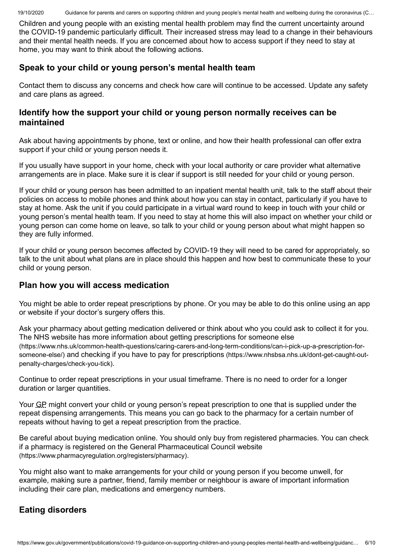Children and young people with an existing mental health problem may find the current uncertainty around the COVID-19 pandemic particularly difficult. Their increased stress may lead to a change in their behaviours and their mental health needs. If you are concerned about how to access support if they need to stay at home, you may want to think about the following actions.

# **Speak to your child or young person's mental health team**

Contact them to discuss any concerns and check how care will continue to be accessed. Update any safety and care plans as agreed.

# **Identify how the support your child or young person normally receives can be maintained**

Ask about having appointments by phone, text or online, and how their health professional can offer extra support if your child or young person needs it.

If you usually have support in your home, check with your local authority or care provider what alternative arrangements are in place. Make sure it is clear if support is still needed for your child or young person.

If your child or young person has been admitted to an inpatient mental health unit, talk to the staff about their policies on access to mobile phones and think about how you can stay in contact, particularly if you have to stay at home. Ask the unit if you could participate in a virtual ward round to keep in touch with your child or young person's mental health team. If you need to stay at home this will also impact on whether your child or young person can come home on leave, so talk to your child or young person about what might happen so they are fully informed.

If your child or young person becomes affected by COVID-19 they will need to be cared for appropriately, so talk to the unit about what plans are in place should this happen and how best to communicate these to your child or young person.

# **Plan how you will access medication**

You might be able to order repeat prescriptions by phone. Or you may be able to do this online using an app or website if your doctor's surgery offers this.

Ask your pharmacy about getting medication delivered or think about who you could ask to collect it for you. The NHS website has more information about getting prescriptions for someone else [\(https://www.nhs.uk/common-health-questions/caring-carers-and-long-term-conditions/can-i-pick-up-a-prescription-for](https://www.nhs.uk/common-health-questions/caring-carers-and-long-term-conditions/can-i-pick-up-a-prescription-for-someone-else/)someone-else/) [and checking if you have to pay for prescriptions](https://www.nhsbsa.nhs.uk/dont-get-caught-out-penalty-charges/check-you-tick) (https://www.nhsbsa.nhs.uk/dont-get-caught-outpenalty-charges/check-you-tick).

Continue to order repeat prescriptions in your usual timeframe. There is no need to order for a longer duration or larger quantities.

Your GP might convert your child or young person's repeat prescription to one that is supplied under the repeat dispensing arrangements. This means you can go back to the pharmacy for a certain number of repeats without having to get a repeat prescription from the practice.

Be careful about buying medication online. You should only buy from registered pharmacies. You can check [if a pharmacy is registered on the General Pharmaceutical Council website](https://www.pharmacyregulation.org/registers/pharmacy) (https://www.pharmacyregulation.org/registers/pharmacy).

You might also want to make arrangements for your child or young person if you become unwell, for example, making sure a partner, friend, family member or neighbour is aware of important information including their care plan, medications and emergency numbers.

# **Eating disorders**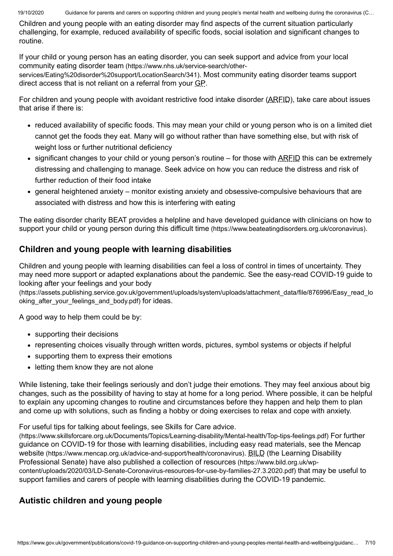Children and young people with an eating disorder may find aspects of the current situation particularly challenging, for example, reduced availability of specific foods, social isolation and significant changes to routine.

[If your child or young person has an eating disorder, you can seek support and advice from your local](https://www.nhs.uk/service-search/other-services/Eating%20disorder%20support/LocationSearch/341) community eating disorder team (https://www.nhs.uk/service-search/other-

services/Eating%20disorder%20support/LocationSearch/341). Most community eating disorder teams support direct access that is not reliant on a referral from your GP.

For children and young people with avoidant restrictive food intake disorder (ARFID), take care about issues that arise if there is:

- reduced availability of specific foods. This may mean your child or young person who is on a limited diet cannot get the foods they eat. Many will go without rather than have something else, but with risk of weight loss or further nutritional deficiency
- significant changes to your child or young person's routine for those with ARFID this can be extremely distressing and challenging to manage. Seek advice on how you can reduce the distress and risk of further reduction of their food intake
- general heightened anxiety monitor existing anxiety and obsessive-compulsive behaviours that are associated with distress and how this is interfering with eating

[The eating disorder charity BEAT provides a helpline and have developed guidance with clinicians on how to](https://www.beateatingdisorders.org.uk/coronavirus) support your child or young person during this difficult time (https://www.beateatingdisorders.org.uk/coronavirus).

# **Children and young people with learning disabilities**

Children and young people with learning disabilities can feel a loss of control in times of uncertainty. They [may need more support or adapted explanations about the pandemic. See the easy-read COVID-19 guide to](https://assets.publishing.service.gov.uk/government/uploads/system/uploads/attachment_data/file/876996/Easy_read_looking_after_your_feelings_and_body.pdf) looking after your feelings and your body

(https://assets.publishing.service.gov.uk/government/uploads/system/uploads/attachment\_data/file/876996/Easy\_read\_lo oking\_after\_your\_feelings\_and\_body.pdf) for ideas.

A good way to help them could be by:

- supporting their decisions
- representing choices visually through written words, pictures, symbol systems or objects if helpful
- supporting them to express their emotions
- letting them know they are not alone

While listening, take their feelings seriously and don't judge their emotions. They may feel anxious about big changes, such as the possibility of having to stay at home for a long period. Where possible, it can be helpful to explain any upcoming changes to routine and circumstances before they happen and help them to plan and come up with solutions, such as finding a hobby or doing exercises to relax and cope with anxiety.

For useful tips for talking about feelings, see Skills for Care advice.

[\(https://www.skillsforcare.org.uk/Documents/Topics/Learning-disability/Mental-health/Top-tips-feelings.pdf\)](https://www.skillsforcare.org.uk/Documents/Topics/Learning-disability/Mental-health/Top-tips-feelings.pdf) For further [guidance on COVID-19 for those with learning disabilities, including easy read materials, see the Mencap](https://www.mencap.org.uk/advice-and-support/health/coronavirus) website (https://www.mencap.org.uk/advice-and-support/health/coronavirus). BILD (the Learning Disability Professional Senate) have also published a collection of resources (https://www.bild.org.uk/wp[content/uploads/2020/03/LD-Senate-Coronavirus-resources-for-use-by-families-27.3.2020.pdf\)](https://www.bild.org.uk/wp-content/uploads/2020/03/LD-Senate-Coronavirus-resources-for-use-by-families-27.3.2020.pdf) that may be useful to support families and carers of people with learning disabilities during the COVID-19 pandemic.

# **Autistic children and young people**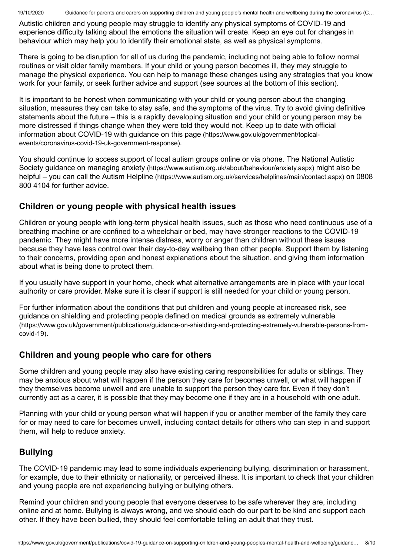Autistic children and young people may struggle to identify any physical symptoms of COVID-19 and experience difficulty talking about the emotions the situation will create. Keep an eye out for changes in behaviour which may help you to identify their emotional state, as well as physical symptoms.

There is going to be disruption for all of us during the pandemic, including not being able to follow normal routines or visit older family members. If your child or young person becomes ill, they may struggle to manage the physical experience. You can help to manage these changes using any strategies that you know work for your family, or seek further advice and support (see sources at the bottom of this section).

It is important to be honest when communicating with your child or young person about the changing situation, measures they can take to stay safe, and the symptoms of the virus. Try to avoid giving definitive statements about the future – this is a rapidly developing situation and your child or young person may be more distressed if things change when they were told they would not. Keep up to date with official [information about COVID-19 with guidance on this page](https://www.gov.uk/government/topical-events/coronavirus-covid-19-uk-government-response) (https://www.gov.uk/government/topicalevents/coronavirus-covid-19-uk-government-response).

[You should continue to access support of local autism groups online or via phone. The National Autistic](https://www.autism.org.uk/about/behaviour/anxiety.aspx) Society guidance on managing anxiety (https://www.autism.org.uk/about/behaviour/anxiety.aspx) might also be helpful – you can call the Autism Helpline [\(https://www.autism.org.uk/services/helplines/main/contact.aspx\)](https://www.autism.org.uk/services/helplines/main/contact.aspx) on 0808 800 4104 for further advice.

## **Children or young people with physical health issues**

Children or young people with long-term physical health issues, such as those who need continuous use of a breathing machine or are confined to a wheelchair or bed, may have stronger reactions to the COVID-19 pandemic. They might have more intense distress, worry or anger than children without these issues because they have less control over their day-to-day wellbeing than other people. Support them by listening to their concerns, providing open and honest explanations about the situation, and giving them information about what is being done to protect them.

If you usually have support in your home, check what alternative arrangements are in place with your local authority or care provider. Make sure it is clear if support is still needed for your child or young person.

For further information about the conditions that put children and young people at increased risk, see [guidance on shielding and protecting people defined on medical grounds as extremely vulnerable](https://www.gov.uk/government/publications/guidance-on-shielding-and-protecting-extremely-vulnerable-persons-from-covid-19) (https://www.gov.uk/government/publications/guidance-on-shielding-and-protecting-extremely-vulnerable-persons-fromcovid-19).

## **Children and young people who care for others**

Some children and young people may also have existing caring responsibilities for adults or siblings. They may be anxious about what will happen if the person they care for becomes unwell, or what will happen if they themselves become unwell and are unable to support the person they care for. Even if they don't currently act as a carer, it is possible that they may become one if they are in a household with one adult.

Planning with your child or young person what will happen if you or another member of the family they care for or may need to care for becomes unwell, including contact details for others who can step in and support them, will help to reduce anxiety.

## **Bullying**

The COVID-19 pandemic may lead to some individuals experiencing bullying, discrimination or harassment, for example, due to their ethnicity or nationality, or perceived illness. It is important to check that your children and young people are not experiencing bullying or bullying others.

Remind your children and young people that everyone deserves to be safe wherever they are, including online and at home. Bullying is always wrong, and we should each do our part to be kind and support each other. If they have been bullied, they should feel comfortable telling an adult that they trust.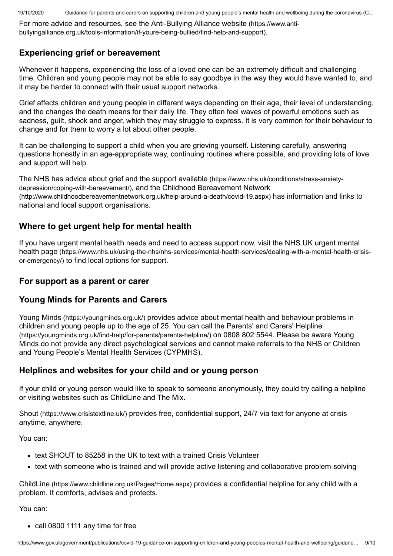[For more advice and resources, see the Anti-Bullying Alliance website](https://www.anti-bullyingalliance.org.uk/tools-information/if-youre-being-bullied/find-help-and-support) (https://www.antibullyingalliance.org.uk/tools-information/if-youre-being-bullied/find-help-and-support).

## **Experiencing grief or bereavement**

Whenever it happens, experiencing the loss of a loved one can be an extremely difficult and challenging time. Children and young people may not be able to say goodbye in the way they would have wanted to, and it may be harder to connect with their usual support networks.

Grief affects children and young people in different ways depending on their age, their level of understanding, and the changes the death means for their daily life. They often feel waves of powerful emotions such as sadness, guilt, shock and anger, which they may struggle to express. It is very common for their behaviour to change and for them to worry a lot about other people.

It can be challenging to support a child when you are grieving yourself. Listening carefully, answering questions honestly in an age-appropriate way, continuing routines where possible, and providing lots of love and support will help.

[The NHS has advice about grief and the support available](https://www.nhs.uk/conditions/stress-anxiety-depression/coping-with-bereavement/) (https://www.nhs.uk/conditions/stress-anxietydepression/coping-with-bereavement/), and the Childhood Bereavement Network [\(http://www.childhoodbereavementnetwork.org.uk/help-around-a-death/covid-19.aspx\)](http://www.childhoodbereavementnetwork.org.uk/help-around-a-death/covid-19.aspx) has information and links to national and local support organisations.

## **Where to get urgent help for mental health**

[If you have urgent mental health needs and need to access support now, visit the NHS.UK urgent mental](https://www.nhs.uk/using-the-nhs/nhs-services/mental-health-services/dealing-with-a-mental-health-crisis-or-emergency/) health page (https://www.nhs.uk/using-the-nhs/nhs-services/mental-health-services/dealing-with-a-mental-health-crisisor-emergency/) to find local options for support.

## **For support as a parent or carer**

## **Young Minds for Parents and Carers**

Young Minds [\(https://youngminds.org.uk/\)](https://youngminds.org.uk/) provides advice about mental health and behaviour problems in [children and young people up to the age of 25. You can call the Parents' and Carers' Helpline](https://youngminds.org.uk/find-help/for-parents/parents-helpline/) (https://youngminds.org.uk/find-help/for-parents/parents-helpline/) on 0808 802 5544. Please be aware Young Minds do not provide any direct psychological services and cannot make referrals to the NHS or Children and Young People's Mental Health Services (CYPMHS).

## **Helplines and websites for your child and or young person**

If your child or young person would like to speak to someone anonymously, they could try calling a helpline or visiting websites such as ChildLine and The Mix.

Shout [\(https://www.crisistextline.uk/\)](https://www.crisistextline.uk/) provides free, confidential support, 24/7 via text for anyone at crisis anytime, anywhere.

You can:

- text SHOUT to 85258 in the UK to text with a trained Crisis Volunteer
- text with someone who is trained and will provide active listening and collaborative problem-solving

ChildLine [\(https://www.childline.org.uk/Pages/Home.aspx\)](https://www.childline.org.uk/Pages/Home.aspx) provides a confidential helpline for any child with a problem. It comforts, advises and protects.

You can:

• call 0800 1111 any time for free